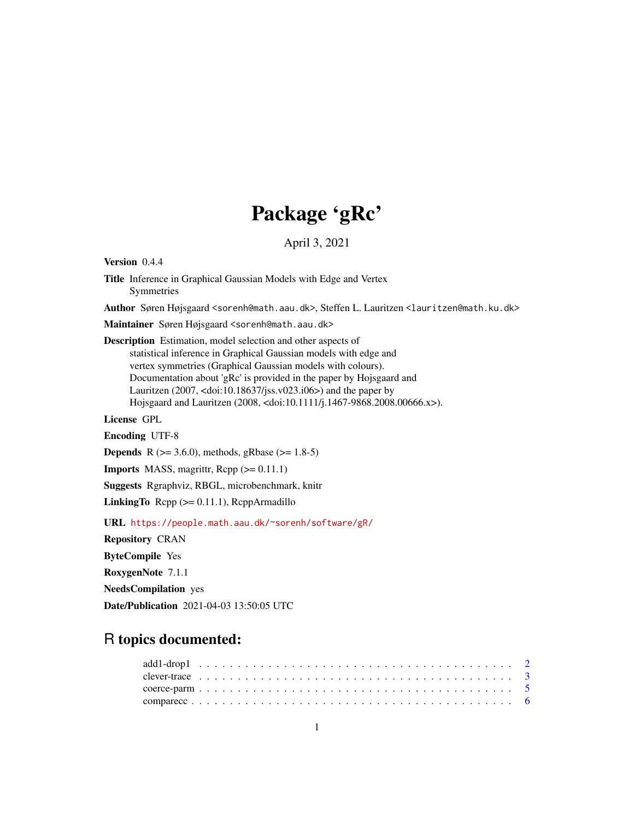# Package 'gRc'

April 3, 2021

<span id="page-0-0"></span>Version 0.4.4 Title Inference in Graphical Gaussian Models with Edge and Vertex Symmetries Author Søren Højsgaard <sorenh@math.aau.dk>, Steffen L. Lauritzen <lauritzen@math.ku.dk> Maintainer Søren Højsgaard <sorenh@math.aau.dk> Description Estimation, model selection and other aspects of statistical inference in Graphical Gaussian models with edge and vertex symmetries (Graphical Gaussian models with colours). Documentation about 'gRc' is provided in the paper by Hojsgaard and Lauritzen (2007, <doi:10.18637/jss.v023.i06>) and the paper by Hojsgaard and Lauritzen (2008, <doi:10.1111/j.1467-9868.2008.00666.x>). License GPL Encoding UTF-8 **Depends** R ( $>= 3.6.0$ ), methods, gRbase ( $>= 1.8-5$ ) **Imports** MASS, magrittr,  $\text{Rcpp} (> = 0.11.1)$ Suggests Rgraphviz, RBGL, microbenchmark, knitr **LinkingTo** Rcpp  $(>= 0.11.1)$ , RcppArmadillo URL <https://people.math.aau.dk/~sorenh/software/gR/> Repository CRAN

ByteCompile Yes RoxygenNote 7.1.1 NeedsCompilation yes

Date/Publication 2021-04-03 13:50:05 UTC

## R topics documented: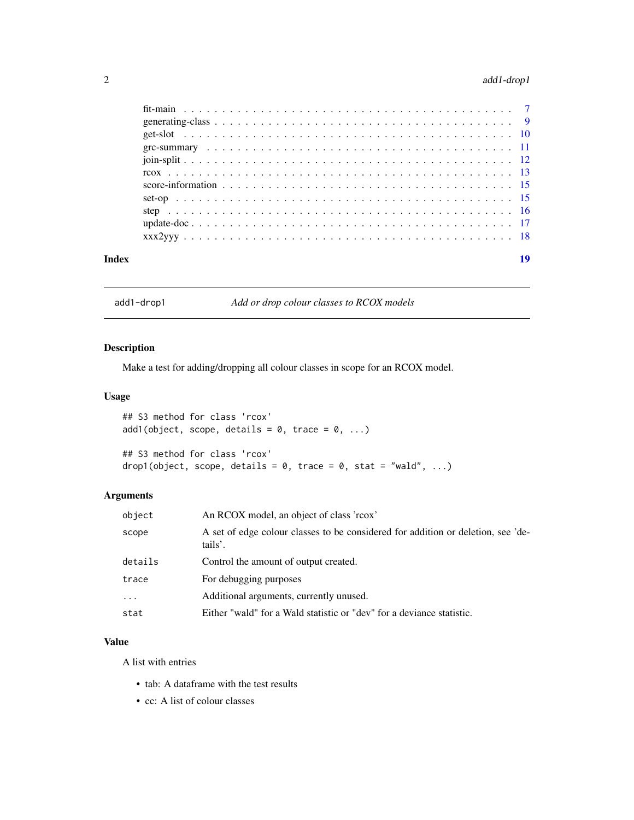## <span id="page-1-0"></span>2 add1-drop1

| Index | 19 |
|-------|----|

add1-drop1 *Add or drop colour classes to RCOX models*

## <span id="page-1-1"></span>Description

Make a test for adding/dropping all colour classes in scope for an RCOX model.

#### Usage

```
## S3 method for class 'rcox'
add1(object, scope, details = 0, trace = 0, ...)## S3 method for class 'rcox'
drop1(object, scope, details = 0, trace = 0, stat = "wald", ...)
```
## Arguments

| object   | An RCOX model, an object of class 'rcox'                                                    |
|----------|---------------------------------------------------------------------------------------------|
| scope    | A set of edge colour classes to be considered for addition or deletion, see 'de-<br>tails'. |
| details  | Control the amount of output created.                                                       |
| trace    | For debugging purposes                                                                      |
| $\cdots$ | Additional arguments, currently unused.                                                     |
| stat     | Either "wald" for a Wald statistic or "dev" for a deviance statistic.                       |

#### Value

A list with entries

- tab: A dataframe with the test results
- cc: A list of colour classes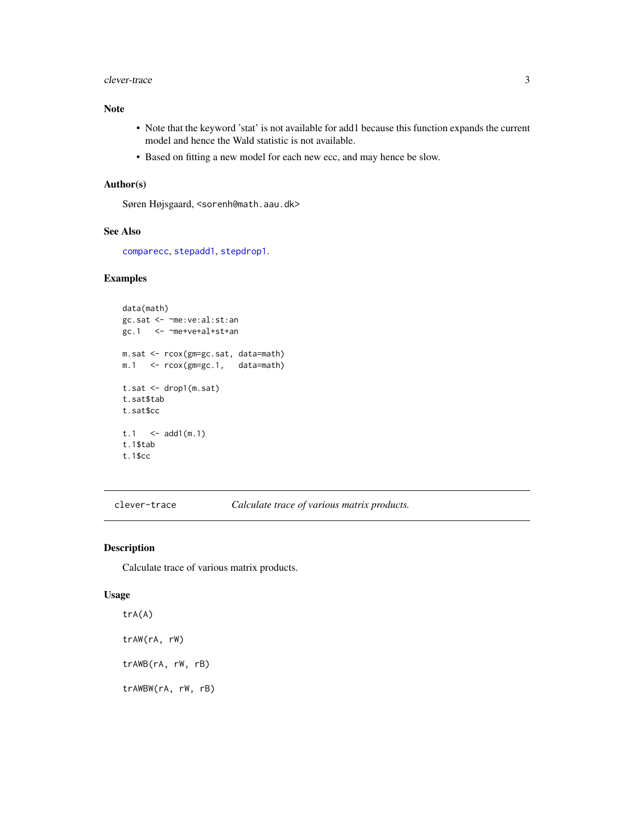#### <span id="page-2-0"></span>clever-trace 3

## Note

- Note that the keyword 'stat' is not available for add1 because this function expands the current model and hence the Wald statistic is not available.
- Based on fitting a new model for each new ecc, and may hence be slow.

#### Author(s)

Søren Højsgaard, <sorenh@math.aau.dk>

#### See Also

[comparecc](#page-5-1), [stepadd1](#page-15-1), [stepdrop1](#page-15-1).

## Examples

```
data(math)
gc.sat <- ~me:ve:al:st:an
gc.1 <- ~me+ve+al+st+an
m.sat <- rcox(gm=gc.sat, data=math)
m.1 <- rcox(gm=gc.1, data=math)
t.sat <- drop1(m.sat)
t.sat$tab
t.sat$cc
t.1 <- add1(m.1)t.1$tab
t.1$cc
```
clever-trace *Calculate trace of various matrix products.*

### Description

Calculate trace of various matrix products.

#### Usage

trA(A) trAW(rA, rW) trAWB(rA, rW, rB) trAWBW(rA, rW, rB)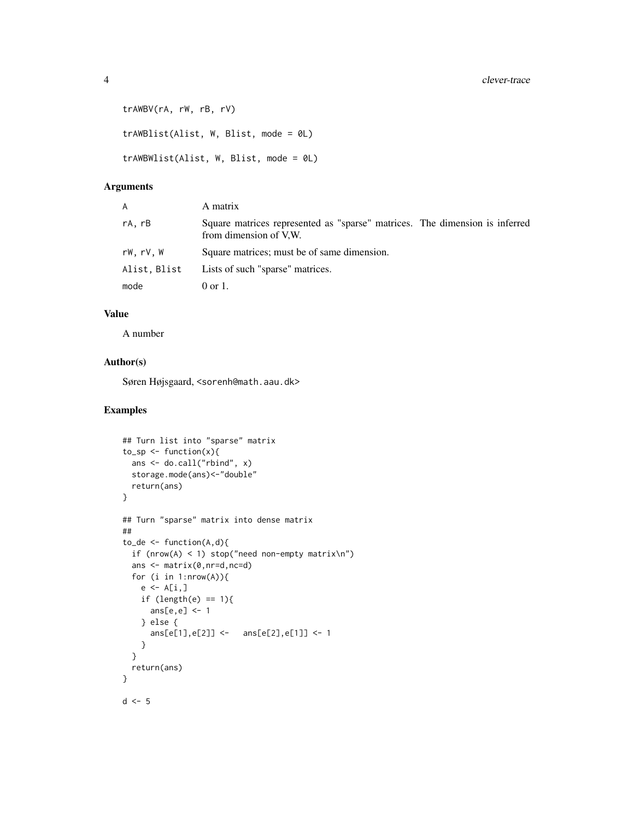```
trAWBV(rA, rW, rB, rV)
trAWBlist(Alist, W, Blist, mode = 0L)
trAWBWlist(Alist, W, Blist, mode = 0L)
```
## Arguments

| A            | A matrix                                                                                              |
|--------------|-------------------------------------------------------------------------------------------------------|
| rA.rB        | Square matrices represented as "sparse" matrices. The dimension is inferred<br>from dimension of V.W. |
| rW.rV.W      | Square matrices; must be of same dimension.                                                           |
| Alist, Blist | Lists of such "sparse" matrices.                                                                      |
| mode         | $0 \text{ or } 1$ .                                                                                   |

#### Value

A number

## Author(s)

Søren Højsgaard, <sorenh@math.aau.dk>

## Examples

```
## Turn list into "sparse" matrix
to_sp \leftarrow function(x)ans <- do.call("rbind", x)
 storage.mode(ans)<-"double"
 return(ans)
}
## Turn "sparse" matrix into dense matrix
##
to_de <- function(A,d){
if (nrow(A) < 1) stop("need non-empty matrix\n")
 ans <- matrix(0,nr=d,nc=d)
 for (i in 1:nrow(A))\{e \leftarrow A[i, ]if (length(e) == 1){ans[e,e] <- 1
    } else {
      ans[e[1],e[2]] <- ans[e[2],e[1]] <- 1
    }
  }
  return(ans)
}
d \leq -5
```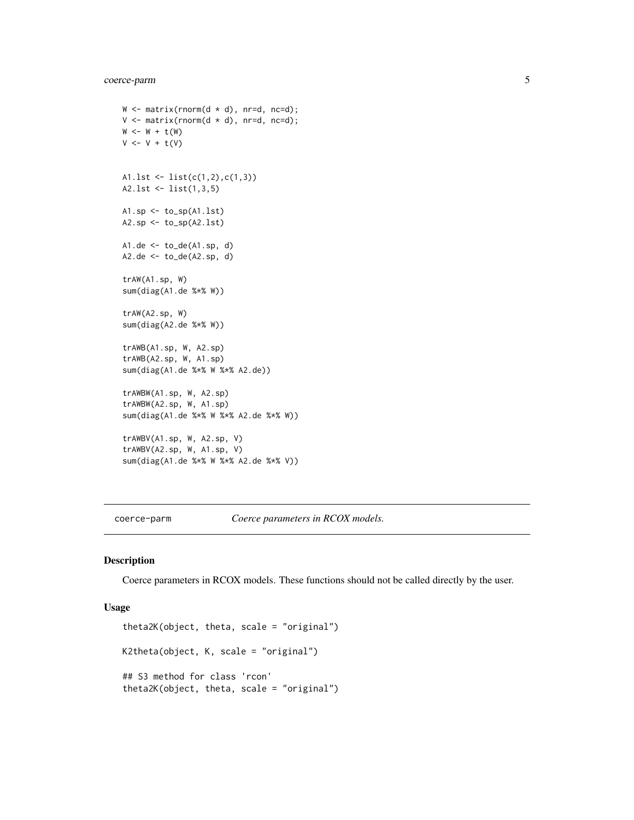## <span id="page-4-0"></span>coerce-parm 5

```
W \leq - matrix(rnorm(d * d), nr=d, nc=d);
V \leq - matrix(rnorm(d * d), nr=d, nc=d);
W \leftarrow W + t(W)V \leftarrow V + t(V)A1.lst <- list(c(1,2),c(1,3))
A2.lst <- list(1,3,5)
A1.\text{sp} \leftarrow \text{to\_sp}(A1.\text{lst})A2.sp <- to_sp(A2.lst)
A1.de \leq to_de(A1.sp, d)
A2.de < -to de(A2(sp, d))trAW(A1.sp, W)
sum(diag(A1.de %*% W))
trAW(A2.sp, W)
sum(diag(A2.de %*% W))
trAWB(A1.sp, W, A2.sp)
trAWB(A2.sp, W, A1.sp)
sum(diag(A1.de %*% W %*% A2.de))
trAWBW(A1.sp, W, A2.sp)
trAWBW(A2.sp, W, A1.sp)
sum(diag(A1.de %*% W %*% A2.de %*% W))
trAWBV(A1.sp, W, A2.sp, V)
trAWBV(A2.sp, W, A1.sp, V)
sum(diag(A1.de %*% W %*% A2.de %*% V))
```
coerce-parm *Coerce parameters in RCOX models.*

#### Description

Coerce parameters in RCOX models. These functions should not be called directly by the user.

#### Usage

```
theta2K(object, theta, scale = "original")
K2theta(object, K, scale = "original")
## S3 method for class 'rcon'
theta2K(object, theta, scale = "original")
```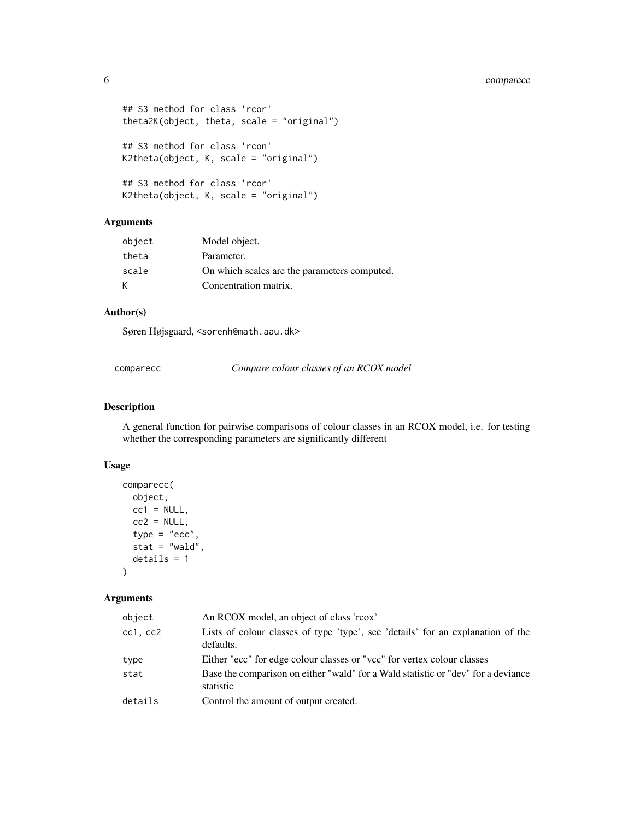```
## S3 method for class 'rcor'
theta2K(object, theta, scale = "original")
## S3 method for class 'rcon'
K2theta(object, K, scale = "original")
## S3 method for class 'rcor'
K2theta(object, K, scale = "original")
```
## Arguments

| object | Model object.                                |
|--------|----------------------------------------------|
| theta  | Parameter.                                   |
| scale  | On which scales are the parameters computed. |
| К      | Concentration matrix.                        |

#### Author(s)

Søren Højsgaard, <sorenh@math.aau.dk>

<span id="page-5-1"></span>comparecc *Compare colour classes of an RCOX model*

#### Description

A general function for pairwise comparisons of colour classes in an RCOX model, i.e. for testing whether the corresponding parameters are significantly different

#### Usage

```
comparecc(
 object,
 cc1 = NULL,cc2 = NULL,type = "ecc",
  stat = "wald",
  details = 1
\lambda
```
## Arguments

| object   | An RCOX model, an object of class 'rcox'                                                       |
|----------|------------------------------------------------------------------------------------------------|
| cc1, cc2 | Lists of colour classes of type 'type', see 'details' for an explanation of the<br>defaults.   |
| type     | Either "ecc" for edge colour classes or "vcc" for vertex colour classes                        |
| stat     | Base the comparison on either "wald" for a Wald statistic or "dev" for a deviance<br>statistic |
| details  | Control the amount of output created.                                                          |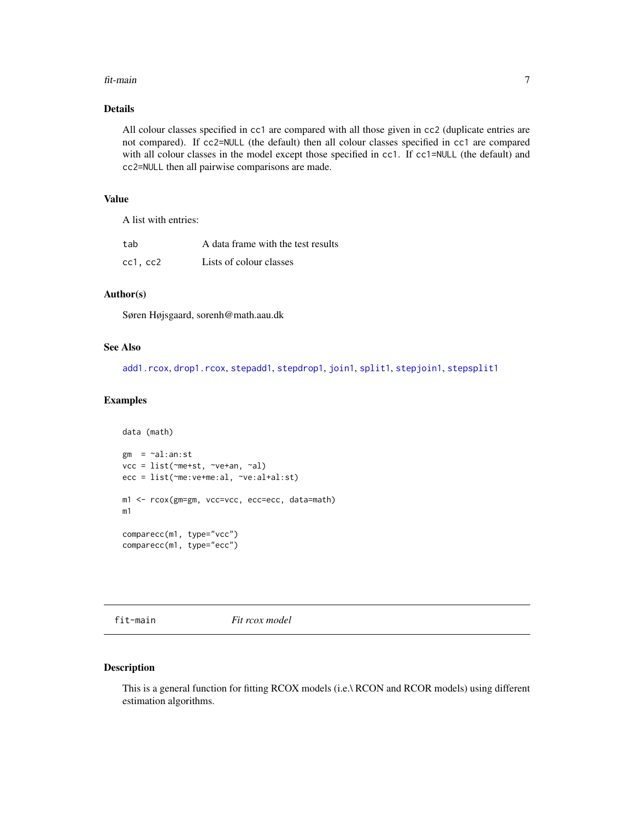#### <span id="page-6-0"></span>fit-main 7

## Details

All colour classes specified in cc1 are compared with all those given in cc2 (duplicate entries are not compared). If cc2=NULL (the default) then all colour classes specified in cc1 are compared with all colour classes in the model except those specified in cc1. If cc1=NULL (the default) and cc2=NULL then all pairwise comparisons are made.

## Value

A list with entries:

| tab      | A data frame with the test results |
|----------|------------------------------------|
| cc1, cc2 | Lists of colour classes            |

#### Author(s)

Søren Højsgaard, sorenh@math.aau.dk

#### See Also

[add1.rcox](#page-1-1), [drop1.rcox](#page-1-1), [stepadd1](#page-15-1), [stepdrop1](#page-15-1), [join1](#page-11-1), [split1](#page-11-1), [stepjoin1](#page-15-1), [stepsplit1](#page-15-1)

### Examples

```
data (math)
gm = \neg al:an:stvcc = list(~me+st, ~ve+an, ~al)
ecc = list(~me:ve+me:al, ~ve:al+al:st)
m1 <- rcox(gm=gm, vcc=vcc, ecc=ecc, data=math)
m1
comparecc(m1, type="vcc")
comparecc(m1, type="ecc")
```
fit-main *Fit rcox model*

#### Description

This is a general function for fitting RCOX models (i.e.\ RCON and RCOR models) using different estimation algorithms.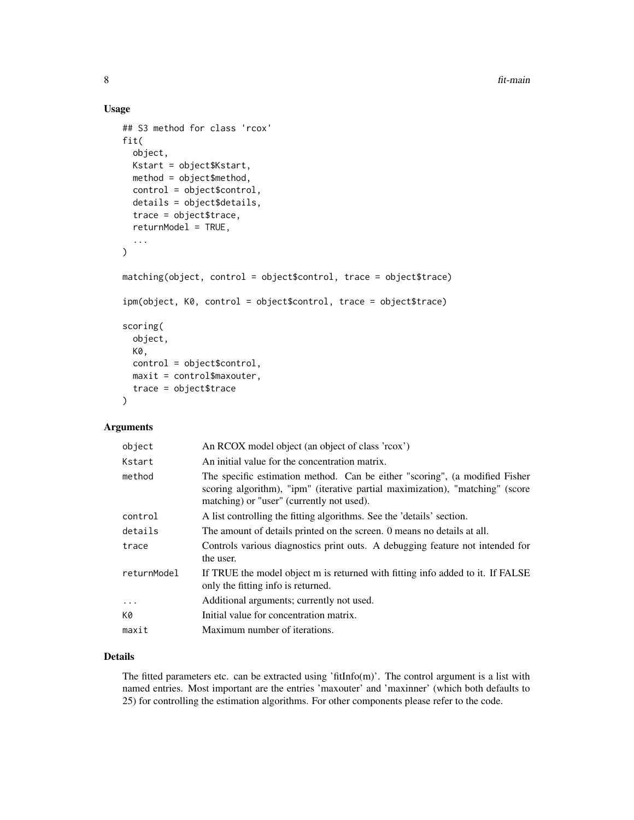8 fit-main

#### Usage

```
## S3 method for class 'rcox'
fit(
  object,
 Kstart = object$Kstart,
 method = object$method,
  control = object$control,
  details = object$details,
  trace = object$trace,
  returnModel = TRUE,
  ...
)
matching(object, control = object$control, trace = object$trace)
ipm(object, K0, control = object$control, trace = object$trace)
scoring(
  object,
 K0,
  control = object$control,
 maxit = control$maxouter,
  trace = object$trace
)
```
## Arguments

| object      | An RCOX model object (an object of class 'rcox')                                                                                                                                                          |
|-------------|-----------------------------------------------------------------------------------------------------------------------------------------------------------------------------------------------------------|
| Kstart      | An initial value for the concentration matrix.                                                                                                                                                            |
| method      | The specific estimation method. Can be either "scoring", (a modified Fisher<br>scoring algorithm), "ipm" (iterative partial maximization), "matching" (score<br>matching) or "user" (currently not used). |
| control     | A list controlling the fitting algorithms. See the 'details' section.                                                                                                                                     |
| details     | The amount of details printed on the screen. O means no details at all.                                                                                                                                   |
| trace       | Controls various diagnostics print outs. A debugging feature not intended for<br>the user.                                                                                                                |
| returnModel | If TRUE the model object m is returned with fitting info added to it. If FALSE<br>only the fitting info is returned.                                                                                      |
| $\cdots$    | Additional arguments; currently not used.                                                                                                                                                                 |
| K0          | Initial value for concentration matrix.                                                                                                                                                                   |
| maxit       | Maximum number of iterations.                                                                                                                                                                             |
|             |                                                                                                                                                                                                           |

## Details

The fitted parameters etc. can be extracted using 'fitInfo(m)'. The control argument is a list with named entries. Most important are the entries 'maxouter' and 'maxinner' (which both defaults to 25) for controlling the estimation algorithms. For other components please refer to the code.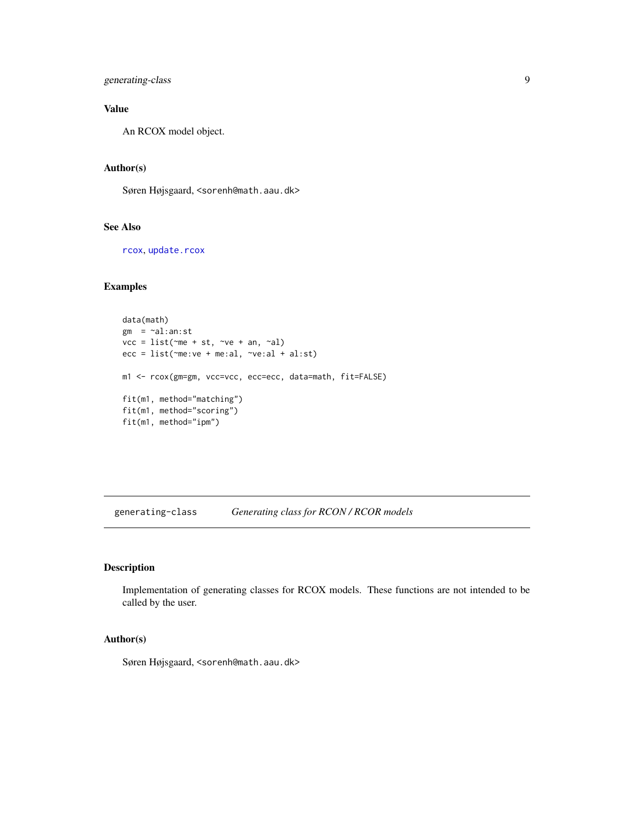<span id="page-8-0"></span>generating-class 9

## Value

An RCOX model object.

## Author(s)

Søren Højsgaard, <sorenh@math.aau.dk>

#### See Also

[rcox](#page-12-1), [update.rcox](#page-16-1)

## Examples

```
data(math)
gm = -al:an:stvcc = list(\text{me} + st, \text{ve} + an, \text{val})ecc = list(~me:ve + me:al, ~ve:al + al:st)
m1 <- rcox(gm=gm, vcc=vcc, ecc=ecc, data=math, fit=FALSE)
fit(m1, method="matching")
fit(m1, method="scoring")
fit(m1, method="ipm")
```
generating-class *Generating class for RCON / RCOR models*

#### Description

Implementation of generating classes for RCOX models. These functions are not intended to be called by the user.

#### Author(s)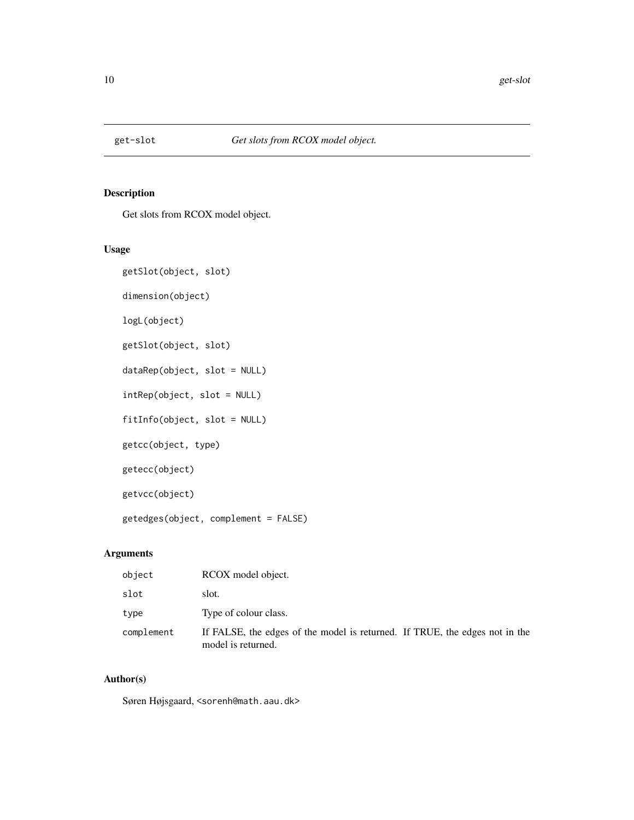<span id="page-9-0"></span>

## Description

Get slots from RCOX model object.

## Usage

```
getSlot(object, slot)
dimension(object)
logL(object)
getSlot(object, slot)
dataRep(object, slot = NULL)
intRep(object, slot = NULL)
fitInfo(object, slot = NULL)
getcc(object, type)
getecc(object)
getvcc(object)
getedges(object, complement = FALSE)
```
## Arguments

| object     | RCOX model object.                                                                                |
|------------|---------------------------------------------------------------------------------------------------|
| slot       | slot.                                                                                             |
| type       | Type of colour class.                                                                             |
| complement | If FALSE, the edges of the model is returned. If TRUE, the edges not in the<br>model is returned. |

## Author(s)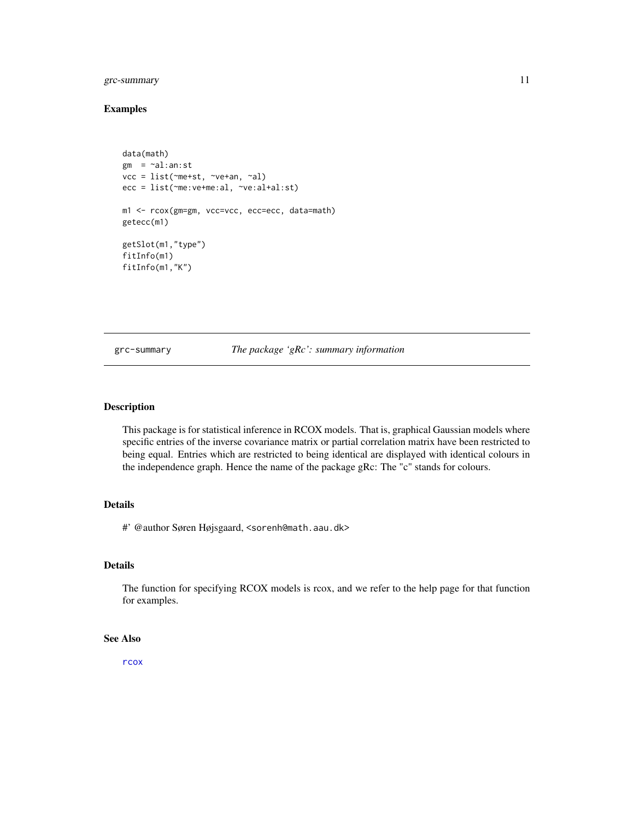## <span id="page-10-0"></span>grc-summary 11

## Examples

```
data(math)
gm = \sim al:an:stvcc = list(~me+st, ~ve+an, ~al)
ecc = list(~me:ve+me:al, ~ve:al+al:st)
m1 <- rcox(gm=gm, vcc=vcc, ecc=ecc, data=math)
getecc(m1)
getSlot(m1,"type")
fitInfo(m1)
fitInfo(m1,"K")
```
grc-summary *The package 'gRc': summary information*

#### Description

This package is for statistical inference in RCOX models. That is, graphical Gaussian models where specific entries of the inverse covariance matrix or partial correlation matrix have been restricted to being equal. Entries which are restricted to being identical are displayed with identical colours in the independence graph. Hence the name of the package gRc: The "c" stands for colours.

## Details

#' @author Søren Højsgaard, <sorenh@math.aau.dk>

#### Details

The function for specifying RCOX models is rcox, and we refer to the help page for that function for examples.

## See Also

[rcox](#page-12-1)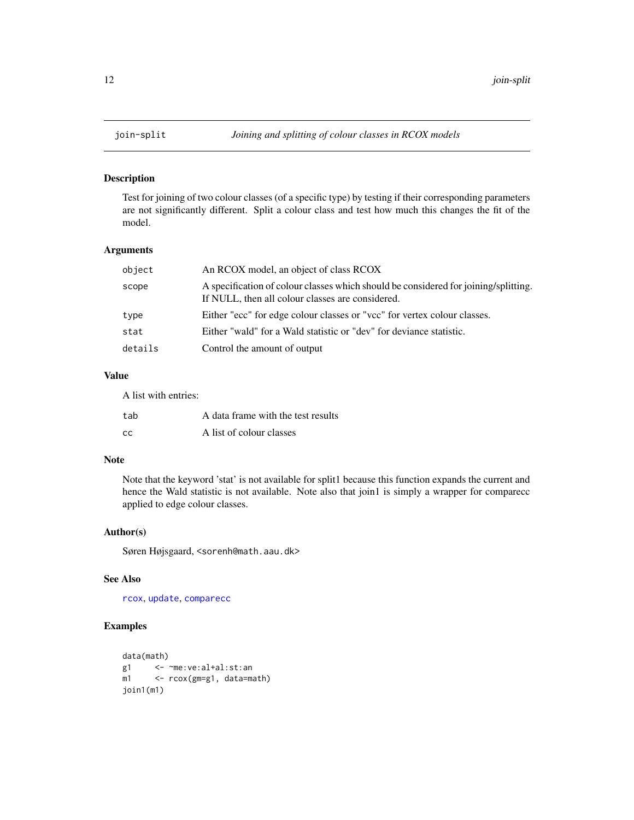<span id="page-11-0"></span>

## <span id="page-11-1"></span>Description

Test for joining of two colour classes (of a specific type) by testing if their corresponding parameters are not significantly different. Split a colour class and test how much this changes the fit of the model.

## Arguments

| object  | An RCOX model, an object of class RCOX                                                                                                  |
|---------|-----------------------------------------------------------------------------------------------------------------------------------------|
| scope   | A specification of colour classes which should be considered for joining/splitting.<br>If NULL, then all colour classes are considered. |
| type    | Either "ecc" for edge colour classes or "vcc" for vertex colour classes.                                                                |
| stat    | Either "wald" for a Wald statistic or "dev" for deviance statistic.                                                                     |
| details | Control the amount of output                                                                                                            |
|         |                                                                                                                                         |

## Value

A list with entries:

| tab       | A data frame with the test results |
|-----------|------------------------------------|
| <b>CC</b> | A list of colour classes           |

## Note

Note that the keyword 'stat' is not available for split1 because this function expands the current and hence the Wald statistic is not available. Note also that join1 is simply a wrapper for comparecc applied to edge colour classes.

#### Author(s)

Søren Højsgaard, <sorenh@math.aau.dk>

#### See Also

[rcox](#page-12-1), [update](#page-0-0), [comparecc](#page-5-1)

## Examples

```
data(math)<br>g1 <-
       g1 <- ~me:ve:al+al:st:an
m1 <- rcox(gm=g1, data=math)
join1(m1)
```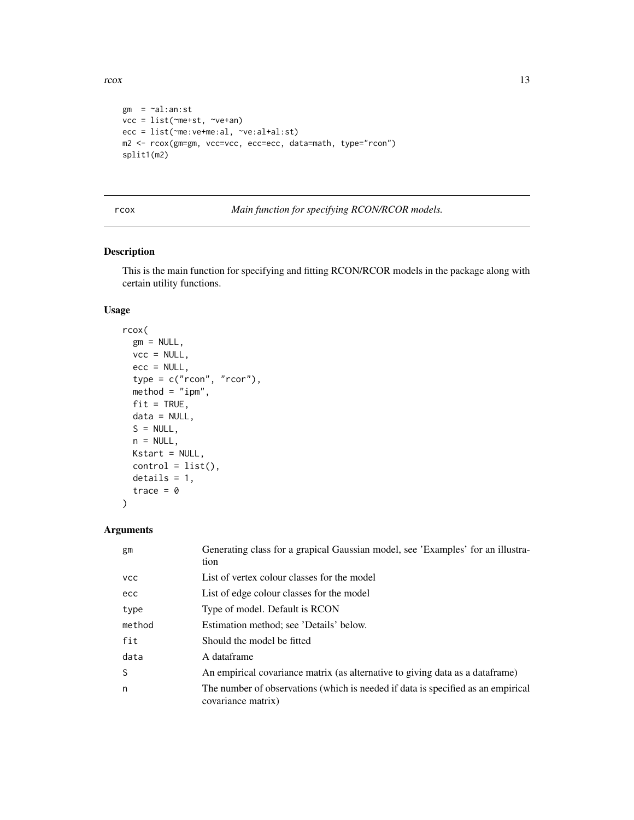<span id="page-12-0"></span>rcox and the state of the state of the state of the state of the state of the state of the state of the state of the state of the state of the state of the state of the state of the state of the state of the state of the s

```
gm = -al:an:stvcc = list(~me+st, ~ve+an)
ecc = list(~me:ve+me:al, ~ve:al+al:st)
m2 <- rcox(gm=gm, vcc=vcc, ecc=ecc, data=math, type="rcon")
split1(m2)
```
<span id="page-12-1"></span>rcox *Main function for specifying RCON/RCOR models.*

## Description

This is the main function for specifying and fitting RCON/RCOR models in the package along with certain utility functions.

## Usage

```
rcox(
 gm = NULL,vcc = NULL,
 ecc = NULL,type = c("rcon", "rcor"),
 method = "ipm",fit = TRUE,data = NULL,
 S = NULL,
 n = NULL,Kstart = NULL,
 control = list(),details = 1,trace = \theta)
```
## Arguments

| gm         | Generating class for a grapical Gaussian model, see 'Examples' for an illustra-<br>tion                |
|------------|--------------------------------------------------------------------------------------------------------|
| <b>VCC</b> | List of vertex colour classes for the model                                                            |
| ecc        | List of edge colour classes for the model                                                              |
| type       | Type of model. Default is RCON                                                                         |
| method     | Estimation method; see 'Details' below.                                                                |
| fit        | Should the model be fitted                                                                             |
| data       | A dataframe                                                                                            |
| S          | An empirical covariance matrix (as alternative to giving data as a data frame)                         |
| n          | The number of observations (which is needed if data is specified as an empirical<br>covariance matrix) |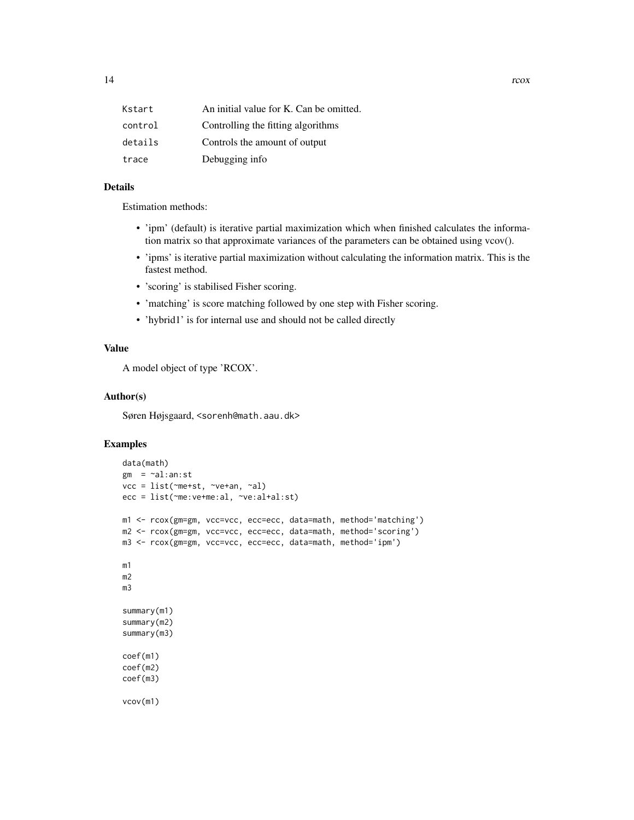| Kstart  | An initial value for K. Can be omitted. |
|---------|-----------------------------------------|
| control | Controlling the fitting algorithms      |
| details | Controls the amount of output           |
| trace   | Debugging info                          |

## Details

Estimation methods:

- 'ipm' (default) is iterative partial maximization which when finished calculates the information matrix so that approximate variances of the parameters can be obtained using vcov().
- 'ipms' is iterative partial maximization without calculating the information matrix. This is the fastest method.
- 'scoring' is stabilised Fisher scoring.
- 'matching' is score matching followed by one step with Fisher scoring.
- 'hybrid1' is for internal use and should not be called directly

## Value

A model object of type 'RCOX'.

#### Author(s)

Søren Højsgaard, <sorenh@math.aau.dk>

## Examples

```
data(math)
gm = -al:an:stvcc = list(~me+st, ~ve+an, ~al)
ecc = list(~me:ve+me:al, ~ve:al+al:st)
m1 <- rcox(gm=gm, vcc=vcc, ecc=ecc, data=math, method='matching')
m2 <- rcox(gm=gm, vcc=vcc, ecc=ecc, data=math, method='scoring')
m3 <- rcox(gm=gm, vcc=vcc, ecc=ecc, data=math, method='ipm')
m1
m2
m3
summary(m1)
summary(m2)
summary(m3)
coef(m1)
coef(m2)
coef(m3)
vcov(m1)
```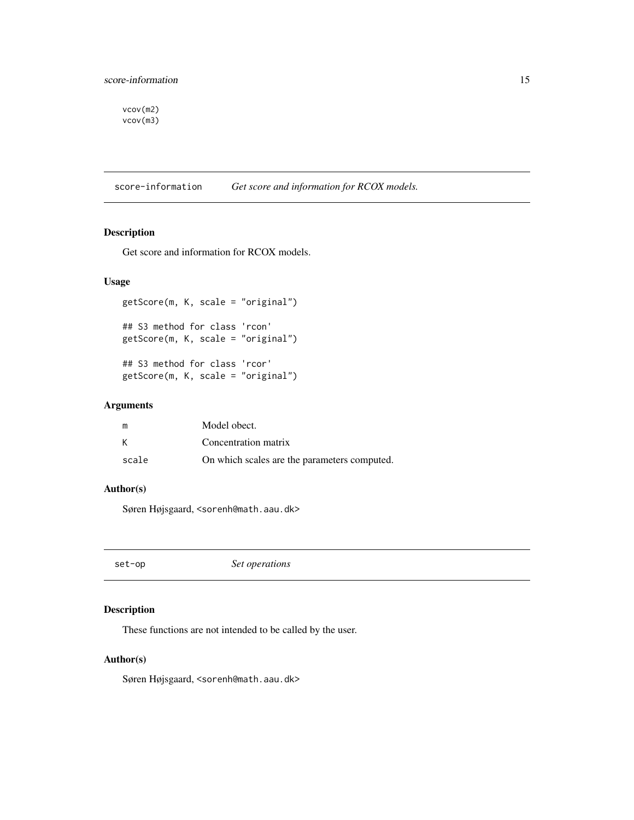<span id="page-14-0"></span>vcov(m2) vcov(m3)

score-information *Get score and information for RCOX models.*

## Description

Get score and information for RCOX models.

## Usage

getScore(m, K, scale = "original") ## S3 method for class 'rcon' getScore(m, K, scale = "original") ## S3 method for class 'rcor' getScore(m, K, scale = "original")

### Arguments

| m     | Model obect.                                 |
|-------|----------------------------------------------|
|       | Concentration matrix                         |
| scale | On which scales are the parameters computed. |

## Author(s)

Søren Højsgaard, <sorenh@math.aau.dk>

set-op *Set operations*

### Description

These functions are not intended to be called by the user.

#### Author(s)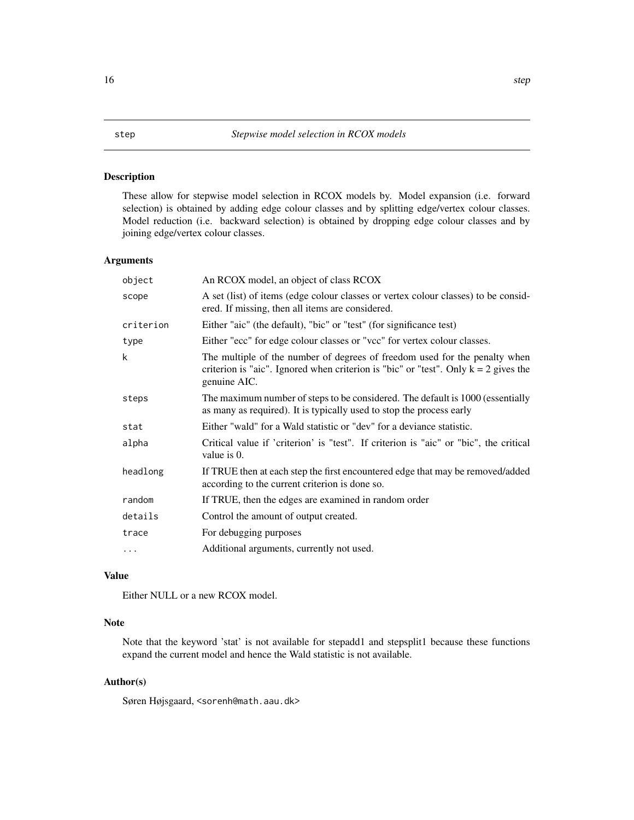### <span id="page-15-1"></span><span id="page-15-0"></span>Description

These allow for stepwise model selection in RCOX models by. Model expansion (i.e. forward selection) is obtained by adding edge colour classes and by splitting edge/vertex colour classes. Model reduction (i.e. backward selection) is obtained by dropping edge colour classes and by joining edge/vertex colour classes.

## Arguments

| object    | An RCOX model, an object of class RCOX                                                                                                                                              |
|-----------|-------------------------------------------------------------------------------------------------------------------------------------------------------------------------------------|
| scope     | A set (list) of items (edge colour classes or vertex colour classes) to be consid-<br>ered. If missing, then all items are considered.                                              |
| criterion | Either "aic" (the default), "bic" or "test" (for significance test)                                                                                                                 |
| type      | Either "ecc" for edge colour classes or "vcc" for vertex colour classes.                                                                                                            |
| k         | The multiple of the number of degrees of freedom used for the penalty when<br>criterion is "aic". Ignored when criterion is "bic" or "test". Only $k = 2$ gives the<br>genuine AIC. |
| steps     | The maximum number of steps to be considered. The default is 1000 (essentially<br>as many as required). It is typically used to stop the process early                              |
| stat      | Either "wald" for a Wald statistic or "dev" for a deviance statistic.                                                                                                               |
| alpha     | Critical value if 'criterion' is "test". If criterion is "aic" or "bic", the critical<br>value is $0$ .                                                                             |
| headlong  | If TRUE then at each step the first encountered edge that may be removed/added<br>according to the current criterion is done so.                                                    |
| random    | If TRUE, then the edges are examined in random order                                                                                                                                |
| details   | Control the amount of output created.                                                                                                                                               |
| trace     | For debugging purposes                                                                                                                                                              |
| $\cdots$  | Additional arguments, currently not used.                                                                                                                                           |

## Value

Either NULL or a new RCOX model.

### Note

Note that the keyword 'stat' is not available for stepadd1 and stepsplit1 because these functions expand the current model and hence the Wald statistic is not available.

## Author(s)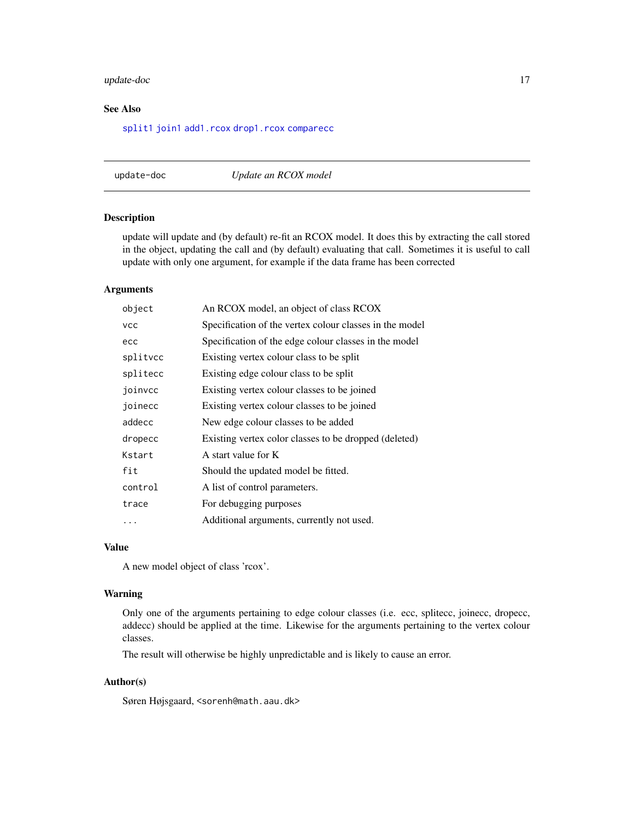## <span id="page-16-0"></span>update-doc 17

## See Also

[split1](#page-11-1) [join1](#page-11-1) [add1.rcox](#page-1-1) [drop1.rcox](#page-1-1) [comparecc](#page-5-1)

update-doc *Update an RCOX model*

#### <span id="page-16-1"></span>Description

update will update and (by default) re-fit an RCOX model. It does this by extracting the call stored in the object, updating the call and (by default) evaluating that call. Sometimes it is useful to call update with only one argument, for example if the data frame has been corrected

## Arguments

| object     | An RCOX model, an object of class RCOX                  |
|------------|---------------------------------------------------------|
| <b>VCC</b> | Specification of the vertex colour classes in the model |
| ecc        | Specification of the edge colour classes in the model   |
| splitvcc   | Existing vertex colour class to be split                |
| splitecc   | Existing edge colour class to be split                  |
| joinvcc    | Existing vertex colour classes to be joined             |
| joinecc    | Existing vertex colour classes to be joined             |
| addecc     | New edge colour classes to be added                     |
| dropecc    | Existing vertex color classes to be dropped (deleted)   |
| Kstart     | A start value for K                                     |
| fit        | Should the updated model be fitted.                     |
| control    | A list of control parameters.                           |
| trace      | For debugging purposes                                  |
| .          | Additional arguments, currently not used.               |

### Value

A new model object of class 'rcox'.

#### Warning

Only one of the arguments pertaining to edge colour classes (i.e. ecc, splitecc, joinecc, dropecc, addecc) should be applied at the time. Likewise for the arguments pertaining to the vertex colour classes.

The result will otherwise be highly unpredictable and is likely to cause an error.

#### Author(s)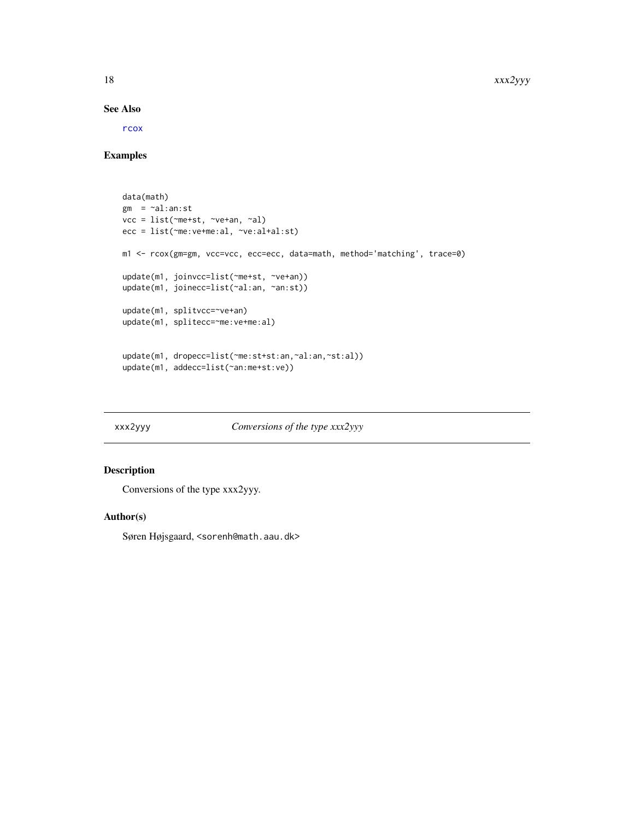#### See Also

[rcox](#page-12-1)

#### Examples

```
data(math)
gm = \neg al:an:stvcc = list(~me+st, ~ve+an, ~al)
ecc = list(~me:ve+me:al, ~ve:al+al:st)
m1 <- rcox(gm=gm, vcc=vcc, ecc=ecc, data=math, method='matching', trace=0)
update(m1, joinvcc=list(~me+st, ~ve+an))
update(m1, joinecc=list(~al:an, ~an:st))
update(m1, splitvcc=~ve+an)
update(m1, splitecc=~me:ve+me:al)
update(m1, dropecc=list(~me:st+st:an,~al:an,~st:al))
update(m1, addecc=list(~an:me+st:ve))
```
xxx2yyy *Conversions of the type xxx2yyy*

## Description

Conversions of the type xxx2yyy.

#### Author(s)

<span id="page-17-0"></span>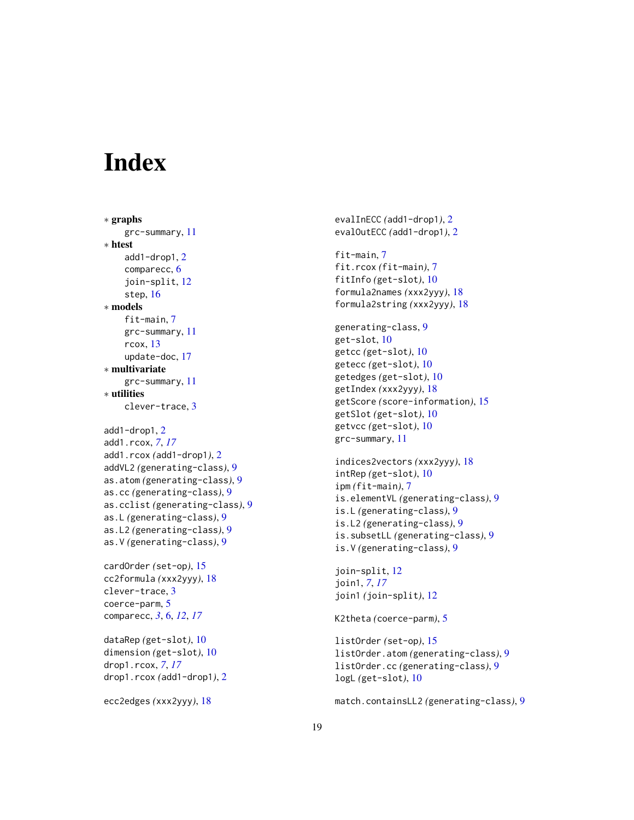# <span id="page-18-0"></span>**Index**

```
∗ graphs
    grc-summary, 11
∗ htest
    add1-drop1, 2
    comparecc, 6
    join-split, 12
    step, 16
∗ models
    fit-main, 7
    grc-summary, 11
    rcox, 13
    update-doc, 17
∗ multivariate
    grc-summary, 11
∗ utilities
    clever-trace, 3
add1-drop1, 2
add1.rcox, 7, 17
add1.rcox (add1-drop1), 2
addVL2 (generating-class), 9
as.atom (generating-class), 9
as.cc (generating-class), 9
as.cclist (generating-class), 9
as.L (generating-class), 9
as.L2 (generating-class), 9
as.V (generating-class), 9
cardOrder (set-op), 15
cc2formula (xxx2yyy), 18
clever-trace, 3
```

```
comparecc, 3, 6, 12, 17
dataRep (get-slot), 10
dimension (get-slot), 10
drop1.rcox, 7, 17
drop1.rcox (add1-drop1), 2
```
coerce-parm, [5](#page-4-0)

```
ecc2edges (xxx2yyy), 18
```
evalInECC *(*add1-drop1*)*, [2](#page-1-0) evalOutECC *(*add1-drop1*)*, [2](#page-1-0) fit-main, [7](#page-6-0) fit.rcox *(*fit-main*)*, [7](#page-6-0) fitInfo *(*get-slot*)*, [10](#page-9-0) formula2names *(*xxx2yyy*)*, [18](#page-17-0) formula2string *(*xxx2yyy*)*, [18](#page-17-0) generating-class, [9](#page-8-0) get-slot, [10](#page-9-0) getcc *(*get-slot*)*, [10](#page-9-0) getecc *(*get-slot*)*, [10](#page-9-0) getedges *(*get-slot*)*, [10](#page-9-0) getIndex *(*xxx2yyy*)*, [18](#page-17-0) getScore *(*score-information*)*, [15](#page-14-0) getSlot *(*get-slot*)*, [10](#page-9-0) getvcc *(*get-slot*)*, [10](#page-9-0) grc-summary, [11](#page-10-0) indices2vectors *(*xxx2yyy*)*, [18](#page-17-0) intRep *(*get-slot*)*, [10](#page-9-0) ipm *(*fit-main*)*, [7](#page-6-0) is.elementVL *(*generating-class*)*, [9](#page-8-0) is.L *(*generating-class*)*, [9](#page-8-0) is.L2 *(*generating-class*)*, [9](#page-8-0) is.subsetLL *(*generating-class*)*, [9](#page-8-0) is.V *(*generating-class*)*, [9](#page-8-0) join-split, [12](#page-11-0) join1, *[7](#page-6-0)*, *[17](#page-16-0)* join1 *(*join-split*)*, [12](#page-11-0)

K2theta *(*coerce-parm*)*, [5](#page-4-0)

```
listOrder (set-op), 15
listOrder.atom (generating-class), 9
listOrder.cc (generating-class), 9
logL (get-slot), 10
```
match.containsLL2 *(*generating-class*)*, [9](#page-8-0)